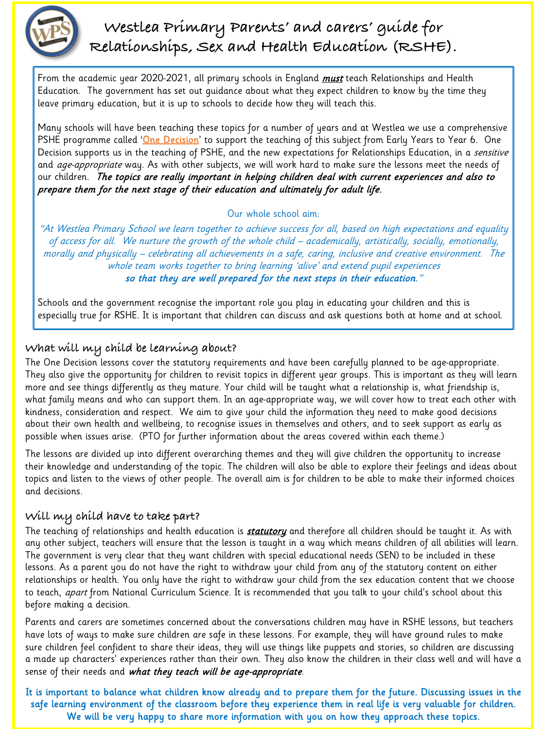

# **Westlea Primary Parents' and carers' guide for Relationships, Sex and Health Education (RSHE).**

## **What will my child be learning about?**

The One Decision lessons cover the statutory requirements and have been carefully planned to be age-appropriate. They also give the opportunity for children to revisit topics in different year groups. This is important as they will learn more and see things differently as they mature. Your child will be taught what a relationship is, what friendship is, what family means and who can support them. In an age-appropriate way, we will cover how to treat each other with kindness, consideration and respect. We aim to give your child the information they need to make good decisions about their own health and wellbeing, to recognise issues in themselves and others, and to seek support as early as possible when issues arise. (PTO for further information about the areas covered within each theme.)

The teaching of relationships and health education is **statutory** and therefore all children should be taught it. As with any other subject, teachers will ensure that the lesson is taught in a way which means children of all abilities will learn. The government is very clear that they want children with special educational needs (SEN) to be included in these lessons. As a parent you do not have the right to withdraw your child from any of the statutory content on either relationships or health. You only have the right to withdraw your child from the sex education content that we choose to teach, *apart* from National Curriculum Science. It is recommended that you talk to your child's school about this before making a decision.

Parents and carers are sometimes concerned about the conversations children may have in RSHE lessons, but teachers have lots of ways to make sure children are safe in these lessons. For example, they will have ground rules to make sure children feel confident to share their ideas, they will use things like puppets and stories, so children are discussing a made up characters' experiences rather than their own. They also know the children in their class well and will have a sense of their needs and what they teach will be age-appropriate.

The lessons are divided up into different overarching themes and they will give children the opportunity to increase their knowledge and understanding of the topic. The children will also be able to explore their feelings and ideas about topics and listen to the views of other people. The overall aim is for children to be able to make their informed choices and decisions.

#### **Will my child have to take part?**

From the academic year 2020-2021, all primary schools in England *must* teach Relationships and Health Education. The government has set out guidance about what they expect children to know by the time they leave primary education, but it is up to schools to decide how they will teach this.

It is important to balance what children know already and to prepare them for the future. Discussing issues in the safe learning environment of the classroom before they experience them in real life is very valuable for children. We will be very happy to share more information with you on how they approach these topics.

Many schools will have been teaching these topics for a number of years and at Westlea we use a comprehensive PSHE programme called '<mark>One Decision</mark>' to support the teaching of this subject from Early Years to Year 6. One Decision supports us in the teaching of PSHE, and the new expectations for Relationships Education, in a sensitive and *age-appropriate* way. As with other subjects, we will work hard to make sure the lessons meet the needs of our children. The topics are really important in helping children deal with current experiences and also to prepare them for the next stage of their education and ultimately for adult life.

### Our whole school aim:

"At Westlea Primary School we learn together to achieve success for all, based on high expectations and equality of access for all. We nurture the growth of the whole child – academically, artistically, socially, emotionally, morally and physically – celebrating all achievements in a safe, caring, inclusive and creative environment. The whole team works together to bring learning 'alive' and extend pupil experiences so that they are well prepared for the next steps in their education."

Schools and the government recognise the important role you play in educating your children and this is especially true for RSHE. It is important that children can discuss and ask questions both at home and at school.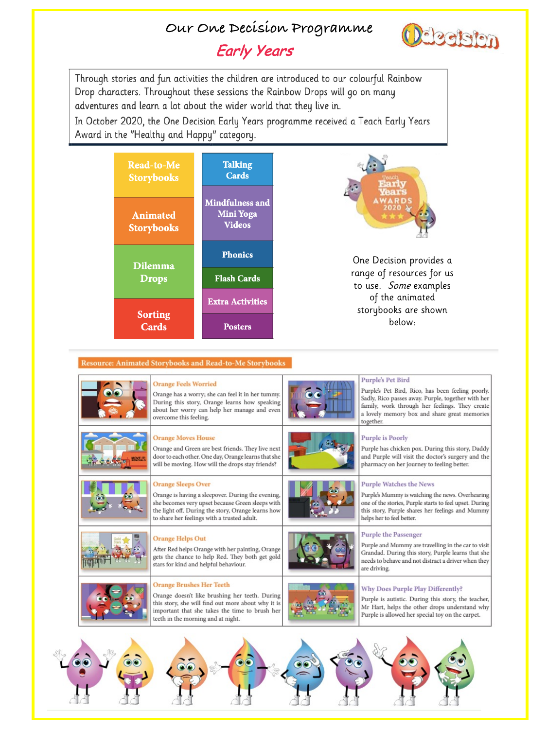# Our One Decision Programme

# **Early Years**



Through stories and fun activities the children are introduced to our colourful Rainbow Drop characters. Throughout these sessions the Rainbow Drops will go on many adventures and learn a lot about the wider world that they live in.

In October 2020, the One Decision Early Years programme received a Teach Early Years Award in the "Healthy and Happy" category.



#### **Resource: Animated Storybooks and Read-to-Me Storybooks**



#### **Orange Feels Worried**

Orange has a worry; she can feel it in her tummy. During this story, Orange learns how speaking about her worry can help her manage and even overcome this feeling.



#### **Orange Moves House**

Orange and Green are best friends. They live next door to each other. One day, Orange learns that she will be moving. How will the drops stay friends?



#### **Orange Sleeps Over**

Orange is having a sleepover. During the evening, she becomes very upset because Green sleeps with the light off. During the story, Orange learns how to share her feelings with a trusted adult.



#### Purple's Pet Bird

Purple's Pet Bird, Rico, has been feeling poorly. Sadly, Rico passes away. Purple, together with her family, work through her feelings. They create a lovely memory box and share great memories together.



#### **Purple is Poorly**

Purple has chicken pox. During this story, Daddy and Purple will visit the doctor's surgery and the pharmacy on her journey to feeling better.

#### **Purple Watches the News**

Purple's Mummy is watching the news. Overhearing one of the stories, Purple starts to feel upset. During this story, Purple shares her feelings and Mummy helps her to feel better.





#### **Orange Helps Out**

After Red helps Orange with her painting, Orange gets the chance to help Red. They both get gold stars for kind and helpful behaviour.



#### Purple the Passenger

Purple and Mummy are travelling in the car to visit Grandad. During this story, Purple learns that she needs to behave and not distract a driver when they are driving.



#### **Orange Brushes Her Teeth**

Orange doesn't like brushing her teeth. During this story, she will find out more about why it is important that she takes the time to brush her teeth in the morning and at night.



#### Why Does Purple Play Differently?

Purple is autistic. During this story, the teacher, Mr Hart, helps the other drops understand why Purple is allowed her special toy on the carpet.

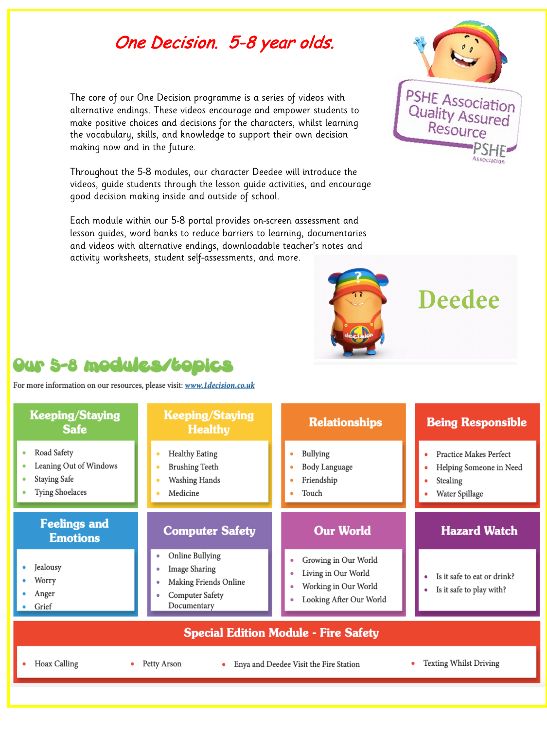# One Decision. 5-8 year olds.

The core of our One Decision programme is a series of videos with alternative endings. These videos encourage and empower students to make positive choices and decisions for the characters, whilst learning the vocabulary, skills, and knowledge to support their own decision making now and in the future.

Throughout the 5-8 modules, our character Deedee will introduce the videos, guide students through the lesson guide activities, and encourage good decision making inside and outside of school.

Each module within our 5-8 portal provides on-screen assessment and lesson guides, word banks to reduce barriers to learning, documentaries and videos with alternative endings, downloadable teacher's notes and activity worksheets, student self-assessments, and more.





# **Deedee**

# **Our 5-8 modules/topics**

For more information on our resources, please visit: www. 1decision.co.uk

## **Keeping/Staying Safe**

- Road Safety
- Leaning Out of Windows
- **Staying Safe**
- Tying Shoelaces

## **Keeping/Staying Healthy**

- **Healthy Eating**
- **Brushing Teeth** ۰

٠

- Washing Hands ٠
- Medicine

## **Relationships**

- Bullying
- Body Language
- Friendship
- Touch

#### **Being Responsible**

- Practice Makes Perfect
- Helping Someone in Need
- Stealing
- Water Spillage

### **Feelings and Emotions**

- Jealousy
- Worry
- Anger
- Grief

## **Computer Safety**

- Online Bullying ۰
- Image Sharing ۰
- Making Friends Online ۰
- Computer Safety ٠ Documentary

## **Our World**

- Growing in Our World
- Living in Our World
- Working in Our World
- Looking After Our World

### **Hazard Watch**

- Is it safe to eat or drink?
- Is it safe to play with?

### **Special Edition Module - Fire Safety**

- Hoax Calling
- Petty Arson ٠
- Enya and Deedee Visit the Fire Station ٠
- **Texting Whilst Driving** ۰